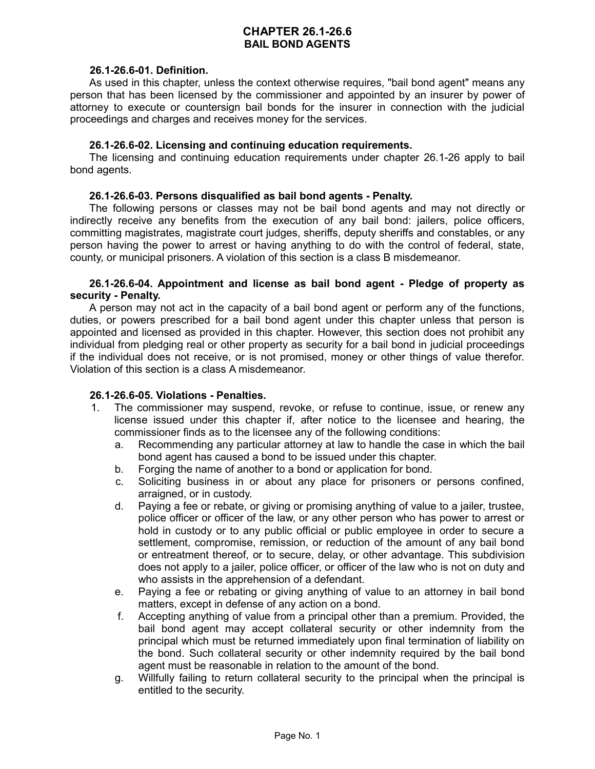# **CHAPTER 26.1-26.6 BAIL BOND AGENTS**

### **26.1-26.6-01. Definition.**

As used in this chapter, unless the context otherwise requires, "bail bond agent" means any person that has been licensed by the commissioner and appointed by an insurer by power of attorney to execute or countersign bail bonds for the insurer in connection with the judicial proceedings and charges and receives money for the services.

## **26.1-26.6-02. Licensing and continuing education requirements.**

The licensing and continuing education requirements under chapter 26.1-26 apply to bail bond agents.

# **26.1-26.6-03. Persons disqualified as bail bond agents - Penalty.**

The following persons or classes may not be bail bond agents and may not directly or indirectly receive any benefits from the execution of any bail bond: jailers, police officers, committing magistrates, magistrate court judges, sheriffs, deputy sheriffs and constables, or any person having the power to arrest or having anything to do with the control of federal, state, county, or municipal prisoners. A violation of this section is a class B misdemeanor.

# **26.1-26.6-04. Appointment and license as bail bond agent - Pledge of property as security - Penalty.**

A person may not act in the capacity of a bail bond agent or perform any of the functions, duties, or powers prescribed for a bail bond agent under this chapter unless that person is appointed and licensed as provided in this chapter. However, this section does not prohibit any individual from pledging real or other property as security for a bail bond in judicial proceedings if the individual does not receive, or is not promised, money or other things of value therefor. Violation of this section is a class A misdemeanor.

# **26.1-26.6-05. Violations - Penalties.**

- 1. The commissioner may suspend, revoke, or refuse to continue, issue, or renew any license issued under this chapter if, after notice to the licensee and hearing, the commissioner finds as to the licensee any of the following conditions:
	- a. Recommending any particular attorney at law to handle the case in which the bail bond agent has caused a bond to be issued under this chapter.
	- b. Forging the name of another to a bond or application for bond.
	- c. Soliciting business in or about any place for prisoners or persons confined, arraigned, or in custody.
	- d. Paying a fee or rebate, or giving or promising anything of value to a jailer, trustee, police officer or officer of the law, or any other person who has power to arrest or hold in custody or to any public official or public employee in order to secure a settlement, compromise, remission, or reduction of the amount of any bail bond or entreatment thereof, or to secure, delay, or other advantage. This subdivision does not apply to a jailer, police officer, or officer of the law who is not on duty and who assists in the apprehension of a defendant.
	- e. Paying a fee or rebating or giving anything of value to an attorney in bail bond matters, except in defense of any action on a bond.
	- f. Accepting anything of value from a principal other than a premium. Provided, the bail bond agent may accept collateral security or other indemnity from the principal which must be returned immediately upon final termination of liability on the bond. Such collateral security or other indemnity required by the bail bond agent must be reasonable in relation to the amount of the bond.
	- g. Willfully failing to return collateral security to the principal when the principal is entitled to the security.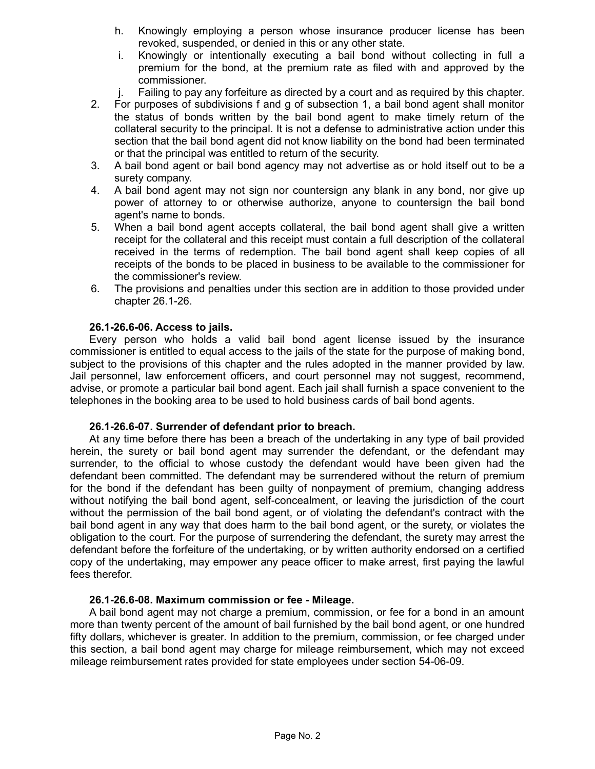- h. Knowingly employing a person whose insurance producer license has been revoked, suspended, or denied in this or any other state.
- i. Knowingly or intentionally executing a bail bond without collecting in full a premium for the bond, at the premium rate as filed with and approved by the commissioner.
- j. Failing to pay any forfeiture as directed by a court and as required by this chapter.
- 2. For purposes of subdivisions f and g of subsection 1, a bail bond agent shall monitor the status of bonds written by the bail bond agent to make timely return of the collateral security to the principal. It is not a defense to administrative action under this section that the bail bond agent did not know liability on the bond had been terminated or that the principal was entitled to return of the security.
- 3. A bail bond agent or bail bond agency may not advertise as or hold itself out to be a surety company.
- 4. A bail bond agent may not sign nor countersign any blank in any bond, nor give up power of attorney to or otherwise authorize, anyone to countersign the bail bond agent's name to bonds.
- 5. When a bail bond agent accepts collateral, the bail bond agent shall give a written receipt for the collateral and this receipt must contain a full description of the collateral received in the terms of redemption. The bail bond agent shall keep copies of all receipts of the bonds to be placed in business to be available to the commissioner for the commissioner's review.
- 6. The provisions and penalties under this section are in addition to those provided under chapter 26.1-26.

### **26.1-26.6-06. Access to jails.**

Every person who holds a valid bail bond agent license issued by the insurance commissioner is entitled to equal access to the jails of the state for the purpose of making bond, subject to the provisions of this chapter and the rules adopted in the manner provided by law. Jail personnel, law enforcement officers, and court personnel may not suggest, recommend, advise, or promote a particular bail bond agent. Each jail shall furnish a space convenient to the telephones in the booking area to be used to hold business cards of bail bond agents.

### **26.1-26.6-07. Surrender of defendant prior to breach.**

At any time before there has been a breach of the undertaking in any type of bail provided herein, the surety or bail bond agent may surrender the defendant, or the defendant may surrender, to the official to whose custody the defendant would have been given had the defendant been committed. The defendant may be surrendered without the return of premium for the bond if the defendant has been guilty of nonpayment of premium, changing address without notifying the bail bond agent, self-concealment, or leaving the jurisdiction of the court without the permission of the bail bond agent, or of violating the defendant's contract with the bail bond agent in any way that does harm to the bail bond agent, or the surety, or violates the obligation to the court. For the purpose of surrendering the defendant, the surety may arrest the defendant before the forfeiture of the undertaking, or by written authority endorsed on a certified copy of the undertaking, may empower any peace officer to make arrest, first paying the lawful fees therefor.

### **26.1-26.6-08. Maximum commission or fee - Mileage.**

A bail bond agent may not charge a premium, commission, or fee for a bond in an amount more than twenty percent of the amount of bail furnished by the bail bond agent, or one hundred fifty dollars, whichever is greater. In addition to the premium, commission, or fee charged under this section, a bail bond agent may charge for mileage reimbursement, which may not exceed mileage reimbursement rates provided for state employees under section 54-06-09.